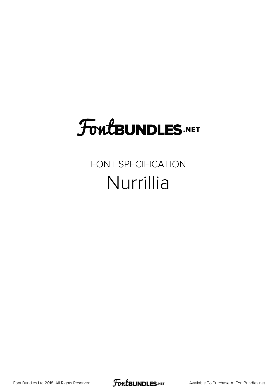## **FoutBUNDLES.NET**

## FONT SPECIFICATION Nurrillia

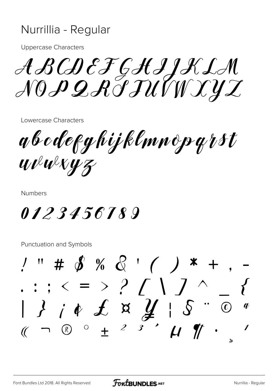## Nurrillia - Regular

**Uppercase Characters** 

ABCDEFGHIJKLA NOPQRITUVWXYZ

Lowercase Characters

a b o de f g hij klmn op grst Wewkyz

**Numbers** 

0123456789

Punctuation and Symbols

 $\frac{1}{2}$  " # \$ % & ' ( ) \* +  $\cdot : \cdot \cdot = \cdot ?$  [ \ ] ^  $13142$   $187$ <br>  $150$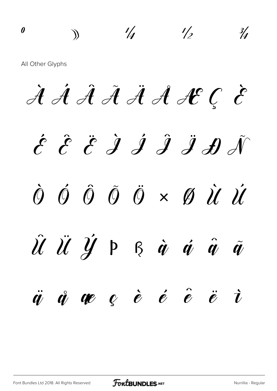º » ¼ ½ ¾ All Other Glyphs À Á Â Ã Ä Å Æ Ç È  $\acute{\mathcal{E}}$   $\acute{\mathcal{E}}$   $\acute{\mathcal{E}}$   $\acute{\mathcal{J}}$   $\acute{\mathcal{J}}$   $\acute{\mathcal{J}}$   $\acute{\mathcal{J}}$   $\acute{\mathcal{J}}$ Ò Ó Ô Õ Ö × Ø Ù Ú  $\hat{\mathcal{U}}$   $\ddot{\mathcal{U}}$   $\ddot{\mathcal{Y}}$   $\beta$   $\dot{\alpha}$   $\dot{\alpha}$   $\ddot{\alpha}$   $\ddot{\alpha}$  $\ddot{q}$   $\ddot{q}$   $q$   $e$   $\dot{e}$   $\dot{e}$   $\ddot{e}$   $\ddot{e}$   $\ddot{v}$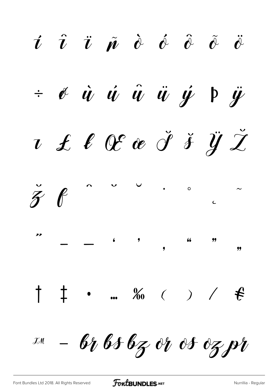$\vec{v}$   $\hat{v}$   $\ddot{\theta}$   $\dot{\phi}$   $\hat{\phi}$   $\ddot{\phi}$   $\ddot{\phi}$   $\ddot{\phi}$  $\dot{v}$   $\dot{\phi}$   $\dot{u}$   $\ddot{u}$   $\ddot{u}$   $\dot{y}$   $\dot{y}$  $u \text{ } t \text{ } \ell \text{ } @ \text{ } \check{d} \text{ } \check{y} \text{ } \check{z}$  $\sim$   $\sim$  $\check{\mathcal{F}}$  $\bullet$  0  $\begin{array}{cccc}\n\mathbf{v} & & & \\
\mathbf{v} & & & \\
\mathbf{v} & & & \\
\mathbf{v} & & & \\
\mathbf{v} & & & \\
\mathbf{v} & & & \\
\mathbf{v} & & & \\
\mathbf{v} & & & \\
\mathbf{v} & & & \\
\mathbf{v} & & & \\
\mathbf{v} & & & \\
\mathbf{v} & & & \\
\mathbf{v} & & & \\
\mathbf{v} & & & \\
\mathbf{v} & & & \\
\mathbf{v} & & & \\
\mathbf{v} & & & \\
\mathbf{v} & & & \\
\mathbf{v} & & & \\
\mathbf{v} & & & \\
\mathbf{v} & & & \\
\math$  $\begin{array}{ccccccc}\n6 & & 9 & & & 6 & & 99 \\
\end{array}$  $\uparrow$   $\uparrow$  . ‰ ( ) /  $\uparrow$  $-6$ 1656z or os ozpr  $\mathcal{J}$ M

FoutBUNDLES.NET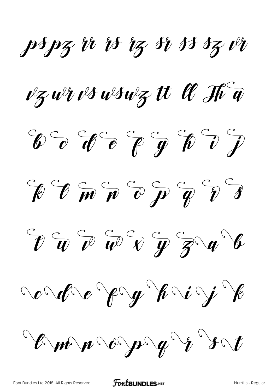pspz ir is iz si ss sz vi

vz wr vs wswz tt U H a

 $\circledast \circledast \circledast \circledast \circledast \circledast \circledast$ 



 $\partial \mathcal{L} \circ \mathcal{L} \circ \mathcal{L} \circ \mathcal{L} \circ \mathcal{L} \circ \mathcal{L} \circ \mathcal{L} \circ \mathcal{L} \circ \mathcal{L} \circ \mathcal{L} \circ \mathcal{L} \circ \mathcal{L} \circ \mathcal{L} \circ \mathcal{L} \circ \mathcal{L} \circ \mathcal{L} \circ \mathcal{L} \circ \mathcal{L} \circ \mathcal{L} \circ \mathcal{L} \circ \mathcal{L} \circ \mathcal{L} \circ \mathcal{L} \circ \mathcal{L} \circ \mathcal{L} \circ \mathcal{L} \circ \mathcal{L} \circ \math$ 

rordre Pry Wrig E

Emmo page to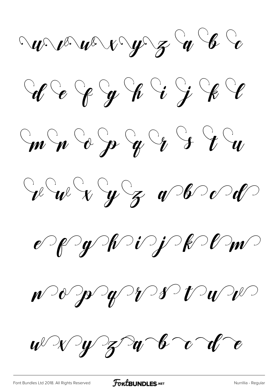$\sim$   $w \sim w \sim v \sim y \sim z \sim 6$ 







 $e^\gamma$  of  $\gamma$  of  $\gamma$  of  $\gamma$  of  $\gamma$  of  $\gamma$ 

 $w$   $\sqrt{y}$  of  $w$   $\sim$   $w$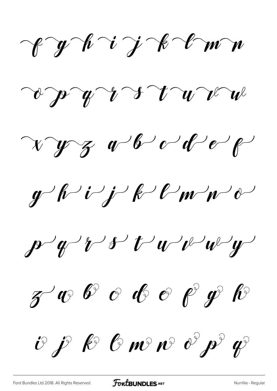Cyhijk Imm

 $\omega$   $\gamma$   $\gamma$   $\gamma$   $\gamma$   $\gamma$   $\gamma$   $\omega$ 

 $\gamma yz$  abode

 $y^{\prime}$  l'i j l' $\ell$  m/m/d